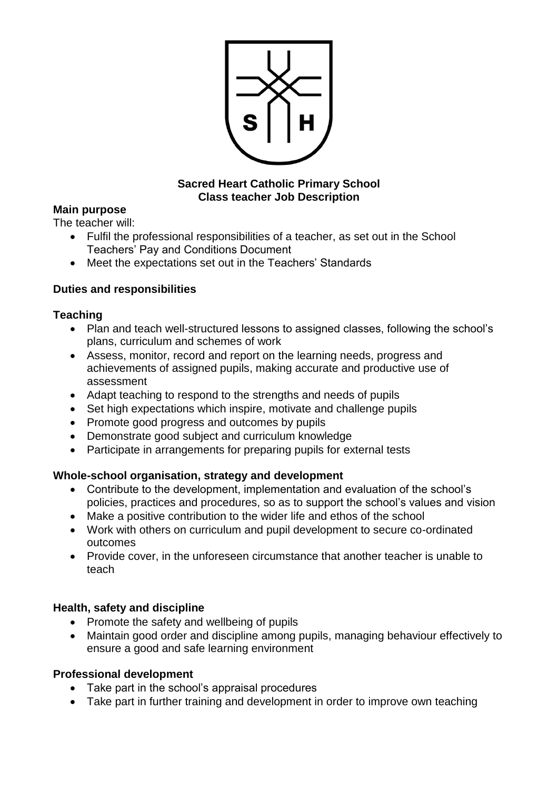

### **Sacred Heart Catholic Primary School Class teacher Job Description**

### **Main purpose**

The teacher will:

- Fulfil the professional responsibilities of a teacher, as set out in the School Teachers' Pay and Conditions Document
- Meet the expectations set out in the Teachers' Standards

# **Duties and responsibilities**

### **Teaching**

- Plan and teach well-structured lessons to assigned classes, following the school's plans, curriculum and schemes of work
- Assess, monitor, record and report on the learning needs, progress and achievements of assigned pupils, making accurate and productive use of assessment
- Adapt teaching to respond to the strengths and needs of pupils
- Set high expectations which inspire, motivate and challenge pupils
- Promote good progress and outcomes by pupils
- Demonstrate good subject and curriculum knowledge
- Participate in arrangements for preparing pupils for external tests

### **Whole-school organisation, strategy and development**

- Contribute to the development, implementation and evaluation of the school's policies, practices and procedures, so as to support the school's values and vision
- Make a positive contribution to the wider life and ethos of the school
- Work with others on curriculum and pupil development to secure co-ordinated outcomes
- Provide cover, in the unforeseen circumstance that another teacher is unable to teach

### **Health, safety and discipline**

- Promote the safety and wellbeing of pupils
- Maintain good order and discipline among pupils, managing behaviour effectively to ensure a good and safe learning environment

### **Professional development**

- Take part in the school's appraisal procedures
- Take part in further training and development in order to improve own teaching